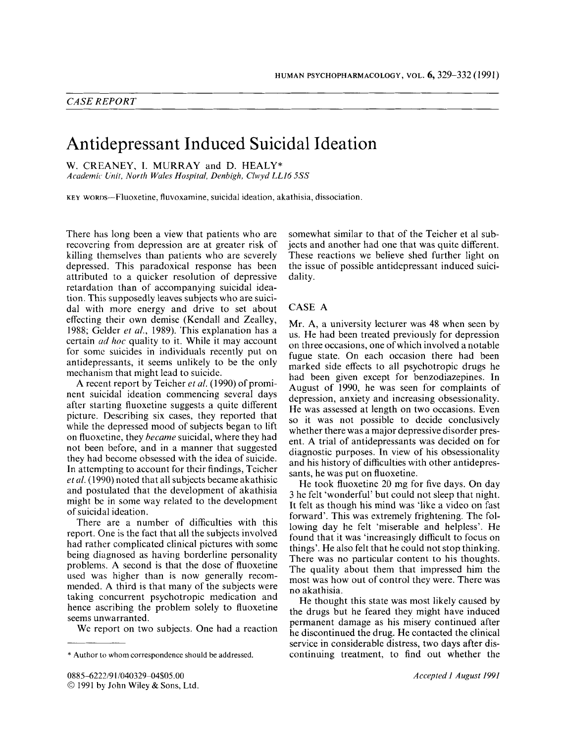# Antidepressant Induced Suicidal Ideation

W. CREANEY, I. MURRAY and D. HEALY\*

*Acudemic Gnit, North Wules Hospital, Denbigh, Clwyd LL16 SSS* 

KEY woms-Fluoxetine, fluvoxamine, suicidal ideation, akathisia. dissociation.

There has long been a view that patients who are recovering from depression are at greater risk of killing themselves than patients who are severely depressed. This paradoxical response has been attributed to a quicker resolution of depressive retardation than of accompanying suicidal ideation. This supposedly leaves subjects who are suicidal with more energy and drive to set about effecting their own demise (Kendall and Zealley, 1988; Gelder *et al.,* 1989). 'This explanation has a certain *ad hoc* quality to it. While it may account for some suicides in individuals recently put on antidepressants, it seems unlikely to be the only mechanism that might lead to suicide.

A recent report by Teicher *et al.* (1990) of prominent suicidal ideation commencing several days after starting fluoxetine suggests a quite different picture. Describing six cases, they reported that while the depressed mood of subjects began to lift on fluoxetine, they *became* suicidal, where they had not been before, and in a manner that suggested they had become obsessed with the idea of suicide. In attempting to account for their findings, Teicher *et al.* (1990) noted that all subjects became akathisic and postulated that the development of akathisia might be in some way related to the development of suicidal ideation.

There are a number of difficulties with this report. One is the fact that all the subjects involved had rather complicated clinical pictures with some being diagnosed as having borderline personality problems. **A** second is that the dose of fluoxetine used was higher than is now generally recommended. A third is that many of the subjects were taking concurrent psychotropic medication and hence ascribing the problem solely to fluoxetine seems unwarranted.

We report on two subjects. One had a reaction

somewhat similar to that of the Teicher et a1 subjects and another had one that was quite different. These reactions we believe shed further light on the issue of possible antidepressant induced suicidality.

#### CASE A

Mr. A, a university lecturer was 48 when seen by us. He had been treated previously for depression on three occasions, one of which involved a notable fugue state. On each occasion there had been marked side effects to all psychotropic drugs he had been given except for benzodiazepines. In August of 1990, he was seen for complaints of depression, anxiety and increasing obsessionality. He was assessed at length on two occasions. Even so it was not possible to decide conclusively whether there was a major depressive disorder present. A trial of antidepressants was decided on for diagnostic purposes. In view of his obsessionality and his history of difficulties with other antidepressants, he was put on fluoxetine.

He took fluoxetine 20 mg for five days. On day **3** he felt 'wonderful' but could not sleep that night. It felt as though his mind was 'like a video on fast forward'. This was extremely frightening. The following day he felt 'miserable and helpless'. He found that it was 'increasingly difficult to focus on things'. He also felt that he could not stop thinking. There was no particular content to his thoughts. The quality about them that impressed him the most was how out of control they were. There was no akathisia.

He thought this state was most likely caused by the drugs but he feared they might have induced permanent damage as his misery continued after he discontinued the drug. He contacted the clinical service in considerable distress, two days after discontinuing treatment, to find out whether the

<sup>\*</sup> Author to whom correspondence should be addressed.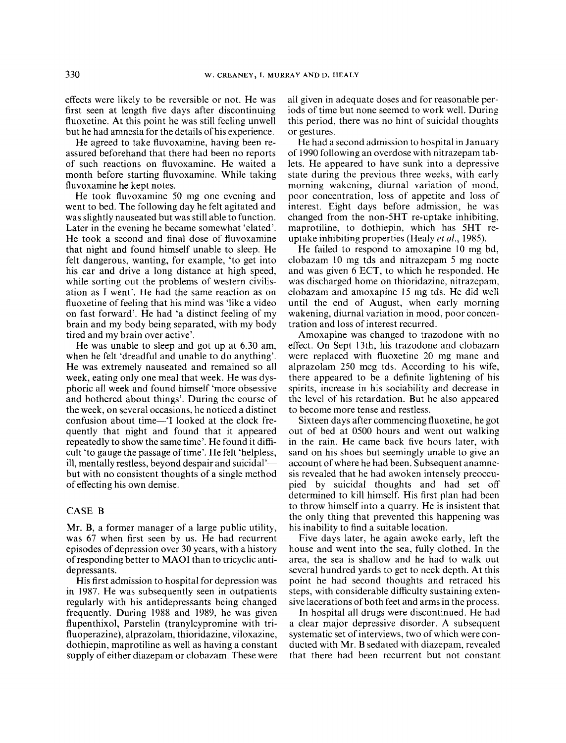effects were likely to be reversible or not. He was first seen at length five days after discontinuing fluoxetine. At this point he was still feeling unwell but he had amnesia for the details of his experience.

He agreed to take fluvoxamine, having been reassured beforehand that there had been no reports of such reactions on fluvoxamine. He waited a month before starting fluvoxamine. While taking fluvoxamine he kept notes.

He took fluvoxamine 50 mg one evening and went to bed. The following day he felt agitated and was slightly nauseated but was still able to function. Later in the evening he became somewhat 'elated'. He took a second and final dose of fluvoxamine that night and found himself unable to sleep. He felt dangerous, wanting, for example, 'to get into his car and drive a long distance at high speed, while sorting out the problems of western civilisation as I went'. He had the same reaction as on fluoxetine of feeling that his mind was 'like a video on fast forward'. He had 'a distinct feeling of my brain and my body being separated, with my body tired and my brain over active'.

He was unable to sleep and got up at 6.30 am, when he felt 'dreadful and unable to do anything'. He was extremely nauseated and remained so all week, eating only one meal that week. He was dysphoric all week and found himself 'more obsessive and bothered about things'. During the course of the week, on several occasions, he noticed a distinct confusion about time-'I looked at the clock frequently that night and found that it appeared repeatedly to show the same time'. He found it difficult 'to gauge the passage of time'. He felt 'helpless, ill, mentally restless, beyond despair and suicidal' but with no consistent thoughts of a single method of effecting his own demise.

#### CASE B

**Mr.** B, a former manager of a large public utility, was 67 when first seen by us. He had recurrent episodes of depression over 30 years, with a history of responding better to **MA01** than to tricyclic antidepressants.

His first admission to hospital for depression was in 1987. He was subsequently seen in outpatients regularly with his antidepressants being changed frequently. During 1988 and 1989, he was given flupenthixol, Parstelin (tranylcypromine with trifluoperazine), alprazolam, thioridazine, viloxazine, dothiepin, maprotiline as well as having a constant supply of either diazepam or clobazam. These were all given in adequate doses and for reasonable periods of time but none seemed to work well. During this period, there was no hint of suicidal thoughts or gestures.

He had a second admission to hospital in January of 1990 following an overdose with nitrazepam tablets. He appeared to have sunk into a depressive state during the previous three weeks, with early morning wakening, diurnal variation of mood, poor concentration, loss of appetite and loss of interest. Eight days before admission, he was changed from the non-5HT re-uptake inhibiting, maprotiline, to dothiepin, which has 5HT reuptake inhibiting properties (Healy *et d.,* 1985).

He failed to respond to amoxapine 10 mg bd, clobazam 10 mg tds and nitrazepam *5* mg nocte and was given 6 ECT, to which he responded. He was discharged home on thioridazine, nitrazepam, clobazam and amoxapine 15 mg tds. He did well until the end of August, when early morning wakening, diurnal variation in mood, poor concentration and loss of interest recurred.

Amoxapine was changed to trazodone with no effect. On Sept I3th, his trazodone and clobazam were replaced with fluoxetine 20 mg mane and alprazolam 250 mcg tds. According to his wife, there appeared to be a definite lightening of his spirits, increase in his sociability and decrease in the level of his retardation. But he also appeared to become more tense and restless.

Sixteen days after commencing fluoxetine, he got out of bed at 0500 hours and went out walking in the rain. He came back five hours later, with sand on his shoes but seemingly unable to give an account of where he had been. Subsequent anamnesis revealed that he had awoken intensely preoccupied by suicidal thoughts and had set off determined to kill himself. His first plan had been to throw himself into a quarry. He is insistent that the only thing that prevented this happening was his inability to find a suitable location.

Five days later, he again awoke early, left the house and went into the sea, fully clothed. In the area, the sea is shallow and he had to walk out several hundred yards to get to neck depth. At this point he had second thoughts and retraced his steps, with considerable difficulty sustaining extensive lacerations of both feet and arms in the process.

In hospital all drugs were discontinued. He had a clear major depressive disorder. A subsequent systematic set of interviews, two of which were conducted with Mr. B sedated with diazepam, revealed that there had been recurrent but not constant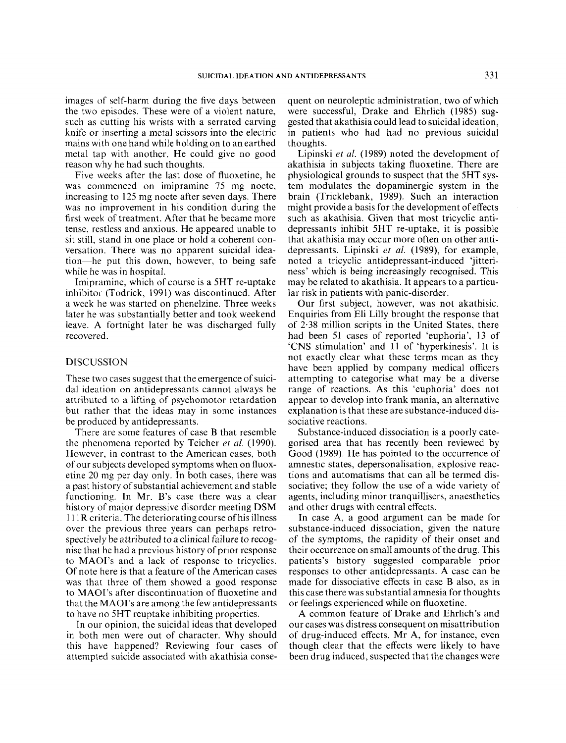images of self-harm during the five days between the two episodes. These were of a violent nature, such as cutting his wrists with a serrated carving knife or inserting a metal scissors into the electric mains with one hand while holding on to an earthed metal tap with another. He could give no good reason why he had such thoughts.

Five weeks after the last dose of fluoxetine, he was commenced on imipramine 75 mg nocte, increasing to 125 mg nocte after seven days. There was no improvement in his condition during the first week of treatment. After that he became more tense, restless and anxious. He appeared unable to sit still, stand in one place or hold a coherent conversation. There was no apparent suicidal ideation-he put this down, however, to being safe while he was in hospital.

Imipramine, which of course is a 5HT re-uptake inhibitor (Todrick, 1991) was discontinued. After a week he was started on phenelzine. Three weeks later he was substantially better and took weekend leave. A fortnight later he was discharged fully recovered.

## DISCUSSION

These two cases suggest that the emergence of suicidal ideation on antidepressants cannot always be attributed to a lifting of psychomotor retardation but rather that the ideas may in some instances be produced by antidepressants.

There are some features of case B that resemble the phenomena reported by Teicher *et al.* (1990). However, in contrast to the American cases, both of our subjects developed symptoms when on fluoxetine 20 mg per day only. In both cases, there was a past history of substantial achievement and stable functioning. In Mr. B's case there was a clear history of major depressive disorder meeting DSM 11 1R criteria. The deteriorating course of his illness over the previous three years can perhaps retrospectively be attributed to a clinical failure to recognise that he had a previous history of prior response to MAOI's and a lack of response to tricyclics. Of note here is that a feature of the American cases was that three of them showed a good response to MAOI's after discontinuation of fluoxetine and that the **MAOI's** are among the few antidepressants to have no 5HT reuptake inhibiting properties.

In our opinion, the suicidal ideas that developed in both men were out of character. Why should this have happened? Reviewing four cases of attempted suicide associated with akathisia consequent on neuroleptic administration, two of which were successful, Drake and Ehriich (1985) suggested that akathisia could lead to suicidal ideation, in patients who had had no previous suicidal thoughts.

Lipinski *et al.* (1989) noted the development of akathisia in subjects taking fluoxetine. There are physiological grounds to suspect that the 5HT system modulates the dopaminergic system in the brain (Tricklebank, 1989). Such an interaction might provide a basis for the development of effects such as akathisia. Given that most tricyclic antidepressants inhibit 5HT re-uptake, it is possible that akathisia may occur more often on other antidepressants. Lipinski *et al.* (1989), for example, noted a tricyclic antidepressant-induced 'jitteriness' which is being increasingly recognised. This may be related to akathisia. It appears to a particular risk in patients with panic-disorder.

Our first subject, however, was not akathisic. Enquiries from Eli Lilly brought the response that of 2.38 million scripts in the United States, there had been 51 cases of reported 'euphoria', 13 of **'CNS** stimulation' and 11 of 'hyperkinesis'. It is not exactly clear what these terms mean as they have been applied by company medical officers attempting to categorise what may be a diverse range of reactions. As this 'euphoria' does not appear to develop into frank mania, an alternative explanation is that these are substance-induced dissociative reactions.

Substance-induced dissociation is a poorly categorised area that has recently been reviewed by Good (1989). He has pointed to the occurrence of amnestic states, depersonalisation, explosive reactions and automatisms that can all be termed dissociative; they follow the use of a wide variety of agents, including minor tranquillisers, anaesthetics and other drugs with central effects.

In case A, a good argument can be made for substance-induced dissociation, given the nature of the symptoms, the rapidity of their onset and their occurrence on small amounts of the drug. This patients's history suggested comparable prior responses to other antidepressants. A case can be made for dissociative effects in case B also, as in this case there was substantial amnesia for thoughts or feelings experienced while on fluoxetine.

A common feature of Drake and Ehrlich's and our cases was distress consequent on misattribution of drug-induced effects. Mr A, for instance, even though clear that the effects were likely to have been drug induced, suspected that the changes were